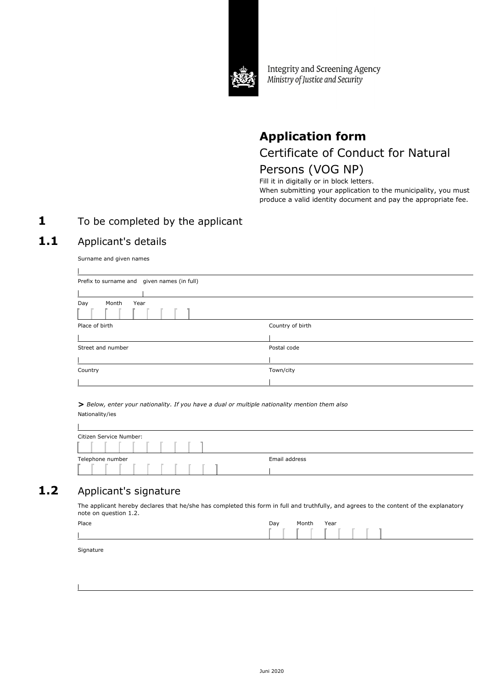

Integrity and Screening Agency Ministry of Justice and Security

# **Application form**

Certificate of Conduct for Natural

# Persons (VOG NP)

Fill it in digitally or in block letters. When submitting your application to the municipality, you must produce a valid identity document and pay the appropriate fee.

### **1** To be completed by the applicant

### 1.1 Applicant's details

Surname and given names

| Prefix to surname and given names (in full) |                  |
|---------------------------------------------|------------------|
|                                             |                  |
| Day<br>Month<br>Year                        |                  |
| Place of birth                              | Country of birth |
|                                             |                  |
| Street and number                           | Postal code      |
|                                             |                  |
| Country                                     | Town/city        |
|                                             |                  |

*> Below, enter your nationality. If you have a dual or multiple nationality mention them also* Nationality/ies

| Citizen Service Number: |               |
|-------------------------|---------------|
|                         |               |
| Telephone number        | Email address |
|                         |               |

## 1.2 Applicant's signature

The applicant hereby declares that he/she has completed this form in full and truthfully, and agrees to the content of the explanatory note on question 1.2.

| Place | Day | Month | Year |
|-------|-----|-------|------|
|       |     |       |      |

Signature

 $\mathbf{r}$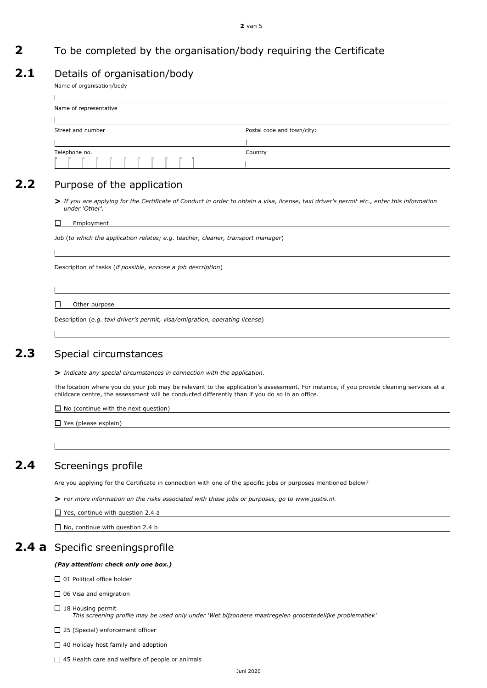#### **2** van 5

### **2** To be completed by the organisation/body requiring the Certificate

### 2.1 Details of organisation/body

Name of organisation/body

 $\mathbf{I}$ 

| Postal code and town/city: |
|----------------------------|
|                            |
| Country                    |
|                            |
|                            |

### 2.2 Purpose of the application

*> If you are applying for the Certificate of Conduct in order to obtain a visa, license, taxi driver's permit etc., enter this information under 'Other'.*

#### $\Box$ Employment

Job (*to which the application relates; e.g. teacher, cleaner, transport manager*)

Description of tasks (*if possible, enclose a job description*)

#### $\Box$ Other purpose

Description (*e.g. taxi driver's permit, visa/emigration, operating license*)

### **2.3** Special circumstances

**>** *Indicate any special circumstances in connection with the application.*

The location where you do your job may be relevant to the application's assessment. For instance, if you provide cleaning services at a childcare centre, the assessment will be conducted differently than if you do so in an office.

 $\Box$  No (continue with the next question)

□ Yes (please explain)

### **2.4** Screenings profile

Are you applying for the Certificate in connection with one of the specific jobs or purposes mentioned below?

**>** *For more information on the risks associated with these jobs or purposes, go to www.justis.nl.*

□ Yes, continue with question 2.4 a

 $\Box$  No, continue with question 2.4 b

### **2.4 a** Specific sreeningsprofile

#### *(Pay attention: check only one box.)*

□ 01 Political office holder

□ 06 Visa and emigration

 $\Box$  18 Housing permit

*This screening profile may be used only under 'Wet bijzondere maatregelen grootstedelijke problematiek'*

□ 25 (Special) enforcement officer

 $\Box$  40 Holiday host family and adoption

 $\Box$  45 Health care and welfare of people or animals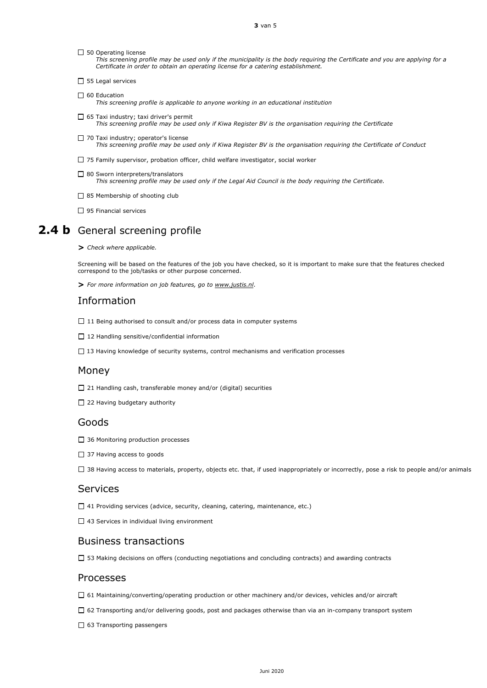$\square$  50 Operating license

*This screening profile may be used only if the municipality is the body requiring the Certificate and you are applying for a Certificate in order to obtain an operating license for a catering establishment.*

- $\Box$  55 Legal services
- $\Box$  60 Education *This screening profile is applicable to anyone working in an educational institution*
- $\Box$  65 Taxi industry; taxi driver's permit *This screening profile may be used only if Kiwa Register BV is the organisation requiring the Certificate*
- □ 70 Taxi industry; operator's license *This screening profile may be used only if Kiwa Register BV is the organisation requiring the Certificate of Conduct*
- $\Box$  75 Family supervisor, probation officer, child welfare investigator, social worker
- □ 80 Sworn interpreters/translators *This screening profile may be used only if the Legal Aid Council is the body requiring the Certificate.*
- $\Box$  85 Membership of shooting club
- □ 95 Financial services

### **2.4 b** General screening profile

*> Check where applicable.*

Screening will be based on the features of the job you have checked, so it is important to make sure that the features checked correspond to the job/tasks or other purpose concerned.

**>** *For more information on job features, go to www.justis.nl*.

### Information

- $\Box$  11 Being authorised to consult and/or process data in computer systems
- $\Box$  12 Handling sensitive/confidential information
- $\Box$  13 Having knowledge of security systems, control mechanisms and verification processes

#### Money

- □ 21 Handling cash, transferable money and/or (digital) securities
- $\Box$  22 Having budgetary authority

#### Goods

- □ 36 Monitoring production processes
- □ 37 Having access to goods
- □ 38 Having access to materials, property, objects etc. that, if used inappropriately or incorrectly, pose a risk to people and/or animals

#### Services

- □ 41 Providing services (advice, security, cleaning, catering, maintenance, etc.)
- $\Box$  43 Services in individual living environment

### Business transactions

53 Making decisions on offers (conducting negotiations and concluding contracts) and awarding contracts

#### Processes

- 61 Maintaining/converting/operating production or other machinery and/or devices, vehicles and/or aircraft
- □ 62 Transporting and/or delivering goods, post and packages otherwise than via an in-company transport system
- $\Box$  63 Transporting passengers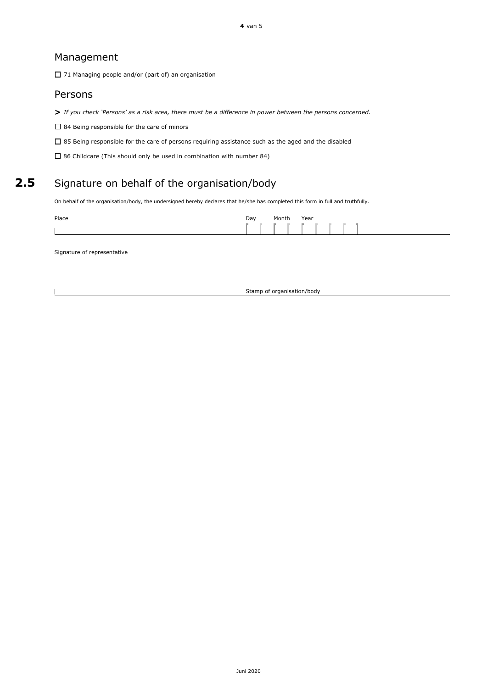### Management

71 Managing people and/or (part of) an organisation

### Persons

*> If you check 'Persons' as a risk area, there must be a difference in power between the persons concerned.*

 $\square$  84 Being responsible for the care of minors

 $\square$  85 Being responsible for the care of persons requiring assistance such as the aged and the disabled

86 Childcare (This should only be used in combination with number 84)

### 2.5 Signature on behalf of the organisation/body

On behalf of the organisation/body, the undersigned hereby declares that he/she has completed this form in full and truthfully.

| Place | Day        | Month | Year |  |  |
|-------|------------|-------|------|--|--|
|       | . <b>.</b> |       |      |  |  |

Signature of representative

Stamp of organisation/body